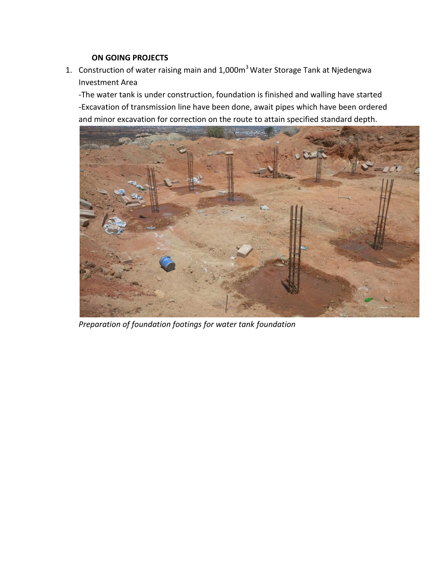## **ON GOING PROJECTS**

1. Construction of water raising main and 1,000m<sup>3</sup> Water Storage Tank at Njedengwa Investment Area

-The water tank is under construction, foundation is finished and walling have started -Excavation of transmission line have been done, await pipes which have been ordered and minor excavation for correction on the route to attain specified standard depth.



*Preparation of foundation footings for water tank foundation*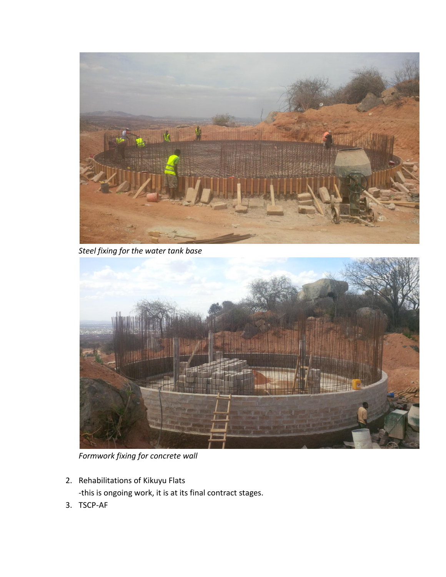

*Steel fixing for the water tank base* 



*Formwork fixing for concrete wall* 

- 2. Rehabilitations of Kikuyu Flats -this is ongoing work, it is at its final contract stages.
- 3. TSCP-AF